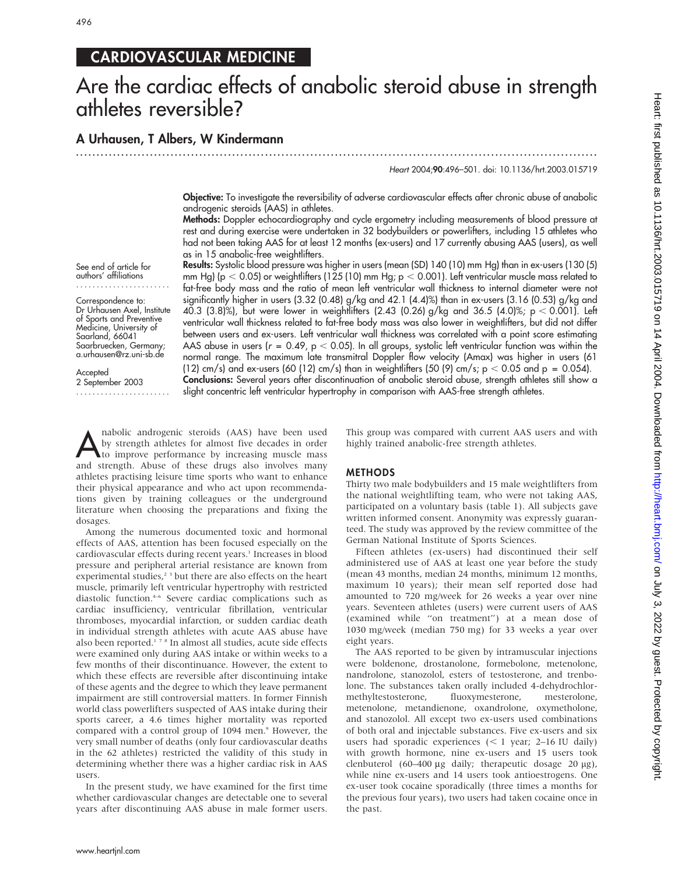# CARDIOVASCULAR MEDICINE

# Are the cardiac effects of anabolic steroid abuse in strength athletes reversible?

.............................................................................................................................. .

A Urhausen, T Albers, W Kindermann

Heart 2004;90:496–501. doi: 10.1136/hrt.2003.015719

Objective: To investigate the reversibility of adverse cardiovascular effects after chronic abuse of anabolic androgenic steroids (AAS) in athletes.

Methods: Doppler echocardiography and cycle ergometry including measurements of blood pressure at rest and during exercise were undertaken in 32 bodybuilders or powerlifters, including 15 athletes who had not been taking AAS for at least 12 months (ex-users) and 17 currently abusing AAS (users), as well as in 15 anabolic-free weightlifters.

See end of article for authors' affiliations .......................

Correspondence to: Dr Urhausen Axel, Institute of Sports and Preventive Medicine, University of Saarland, 66041 Saarbruecken, Germany; a.urhausen@rz.uni-sb.de

**Accepted** 2 September 2003 ....................... Results: Systolic blood pressure was higher in users (mean (SD) 140 (10) mm Hg) than in ex-users (130 (5) mm Hg) (p  $<$  0.05) or weightlifters (125 (10) mm Hg; p  $<$  0.001). Left ventricular muscle mass related to fat-free body mass and the ratio of mean left ventricular wall thickness to internal diameter were not significantly higher in users (3.32 (0.48) g/kg and 42.1 (4.4)%) than in ex-users (3.16 (0.53) g/kg and 40.3 (3.8)%), but were lower in weightlifters (2.43 (0.26) g/kg and 36.5 (4.0)%; p < 0.001). Left ventricular wall thickness related to fat-free body mass was also lower in weightlifters, but did not differ between users and ex-users. Left ventricular wall thickness was correlated with a point score estimating AAS abuse in users ( $r = 0.49$ ,  $p < 0.05$ ). In all groups, systolic left ventricular function was within the normal range. The maximum late transmitral Doppler flow velocity (Amax) was higher in users (61 (12) cm/s) and ex-users (60 (12) cm/s) than in weightlifters (50 (9) cm/s;  $p < 0.05$  and  $p = 0.054$ . Conclusions: Several years after discontinuation of anabolic steroid abuse, strength athletes still show a slight concentric left ventricular hypertrophy in comparison with AAS-free strength athletes.

Anabolic androgenic steroids (AAS) have been used<br>by strength athletes for almost five decades in order<br>to improve performance by increasing muscle mass by strength athletes for almost five decades in order and strength. Abuse of these drugs also involves many athletes practising leisure time sports who want to enhance their physical appearance and who act upon recommendations given by training colleagues or the underground literature when choosing the preparations and fixing the dosages.

Among the numerous documented toxic and hormonal effects of AAS, attention has been focused especially on the cardiovascular effects during recent years.<sup>1</sup> Increases in blood pressure and peripheral arterial resistance are known from experimental studies,<sup>2</sup> 3 but there are also effects on the heart muscle, primarily left ventricular hypertrophy with restricted diastolic function.4–6 Severe cardiac complications such as cardiac insufficiency, ventricular fibrillation, ventricular thromboses, myocardial infarction, or sudden cardiac death in individual strength athletes with acute AAS abuse have also been reported.<sup>178</sup> In almost all studies, acute side effects were examined only during AAS intake or within weeks to a few months of their discontinuance. However, the extent to which these effects are reversible after discontinuing intake of these agents and the degree to which they leave permanent impairment are still controversial matters. In former Finnish world class powerlifters suspected of AAS intake during their sports career, a 4.6 times higher mortality was reported compared with a control group of 1094 men.<sup>9</sup> However, the very small number of deaths (only four cardiovascular deaths in the 62 athletes) restricted the validity of this study in determining whether there was a higher cardiac risk in AAS users.

In the present study, we have examined for the first time whether cardiovascular changes are detectable one to several years after discontinuing AAS abuse in male former users.

#### This group was compared with current AAS users and with highly trained anabolic-free strength athletes.

#### METHODS

Thirty two male bodybuilders and 15 male weightlifters from the national weightlifting team, who were not taking AAS, participated on a voluntary basis (table 1). All subjects gave written informed consent. Anonymity was expressly guaranteed. The study was approved by the review committee of the German National Institute of Sports Sciences.

Fifteen athletes (ex-users) had discontinued their self administered use of AAS at least one year before the study (mean 43 months, median 24 months, minimum 12 months, maximum 10 years); their mean self reported dose had amounted to 720 mg/week for 26 weeks a year over nine years. Seventeen athletes (users) were current users of AAS (examined while ''on treatment'') at a mean dose of 1030 mg/week (median 750 mg) for 33 weeks a year over eight years.

The AAS reported to be given by intramuscular injections were boldenone, drostanolone, formebolone, metenolone, nandrolone, stanozolol, esters of testosterone, and trenbolone. The substances taken orally included 4-dehydrochlormethyltestosterone, fluoxymesterone, mesterolone, metenolone, metandienone, oxandrolone, oxymetholone, and stanozolol. All except two ex-users used combinations of both oral and injectable substances. Five ex-users and six users had sporadic experiences  $(< 1$  year; 2-16 IU daily) with growth hormone, nine ex-users and 15 users took clenbuterol (60-400 µg daily; therapeutic dosage 20 µg), while nine ex-users and 14 users took antioestrogens. One ex-user took cocaine sporadically (three times a months for the previous four years), two users had taken cocaine once in the past.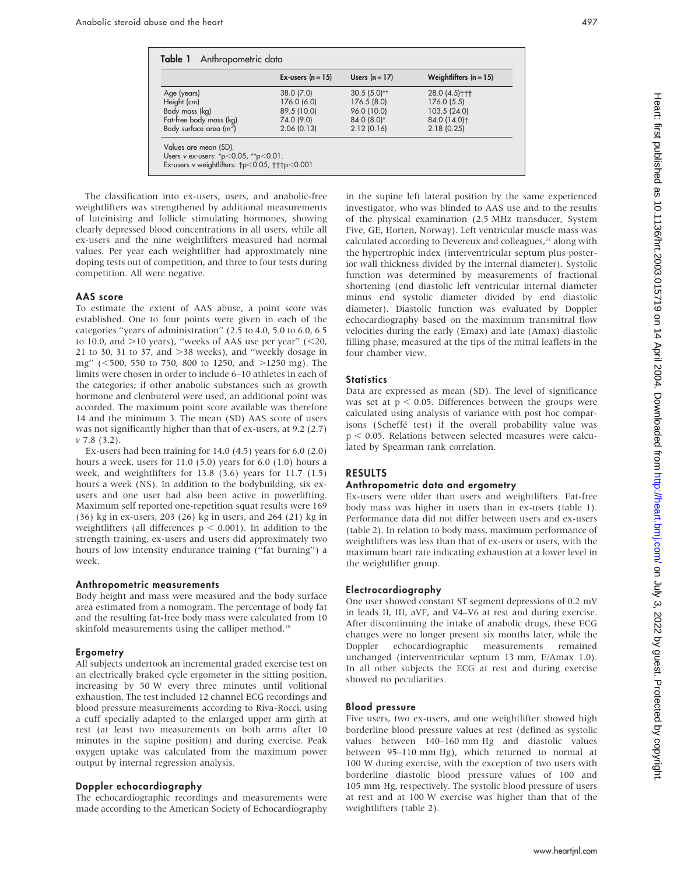|                          | Ex-users $(n = 15)$ | Users $(n = 17)$ | Weightlifters $(n = 15)$ |
|--------------------------|---------------------|------------------|--------------------------|
| Age (years)              | 38.0 (7.0)          | $30.5(5.0)*$     | 28.0 (4.5) + + +         |
| Height (cm)              | 176.0 (6.0)         | 176.5(8.0)       | 176.0(5.5)               |
| Body mass (kg)           | 89.5 (10.0)         | 96.0 (10.0)      | 103.5 (24.0)             |
| Fat-free body mass (kg)  | 74.0 (9.0)          | 84.0 (8.0)*      | 84.0 (14.0)+             |
| Body surface area $(m2)$ | 2.06(0.13)          | 2.12(0.16)       | 2.18(0.25)               |

The classification into ex-users, users, and anabolic-free weightlifters was strengthened by additional measurements of luteinising and follicle stimulating hormones, showing clearly depressed blood concentrations in all users, while all ex-users and the nine weightlifters measured had normal values. Per year each weightlifter had approximately nine doping tests out of competition, and three to four tests during competition. All were negative.

#### AAS score

To estimate the extent of AAS abuse, a point score was established. One to four points were given in each of the categories ''years of administration'' (2.5 to 4.0, 5.0 to 6.0, 6.5 to 10.0, and  $>$ 10 years), "weeks of AAS use per year" (<20, 21 to 30, 31 to 37, and  $>$ 38 weeks), and "weekly dosage in mg'' ( $\leq$ 500, 550 to 750, 800 to 1250, and  $>$ 1250 mg). The limits were chosen in order to include 6–10 athletes in each of the categories; if other anabolic substances such as growth hormone and clenbuterol were used, an additional point was accorded. The maximum point score available was therefore 14 and the minimum 3. The mean (SD) AAS score of users was not significantly higher than that of ex-users, at 9.2 (2.7)  $v$  7.8 (3.2).

Ex-users had been training for 14.0 (4.5) years for 6.0 (2.0) hours a week, users for 11.0 (5.0) years for 6.0 (1.0) hours a week, and weightlifters for 13.8 (3.6) years for 11.7 (1.5) hours a week (NS). In addition to the bodybuilding, six exusers and one user had also been active in powerlifting. Maximum self reported one-repetition squat results were 169 (36) kg in ex-users, 203 (26) kg in users, and 264 (21) kg in weightlifters (all differences  $p < 0.001$ ). In addition to the strength training, ex-users and users did approximately two hours of low intensity endurance training (''fat burning'') a week.

#### Anthropometric measurements

Body height and mass were measured and the body surface area estimated from a nomogram. The percentage of body fat and the resulting fat-free body mass were calculated from 10 skinfold measurements using the calliper method.<sup>10</sup>

#### Ergometry

All subjects undertook an incremental graded exercise test on an electrically braked cycle ergometer in the sitting position, increasing by 50 W every three minutes until volitional exhaustion. The test included 12 channel ECG recordings and blood pressure measurements according to Riva-Rocci, using a cuff specially adapted to the enlarged upper arm girth at rest (at least two measurements on both arms after 10 minutes in the supine position) and during exercise. Peak oxygen uptake was calculated from the maximum power output by internal regression analysis.

#### Doppler echocardiography

The echocardiographic recordings and measurements were made according to the American Society of Echocardiography in the supine left lateral position by the same experienced investigator, who was blinded to AAS use and to the results of the physical examination (2.5 MHz transducer, System Five, GE, Horten, Norway). Left ventricular muscle mass was calculated according to Devereux and colleagues,<sup>11</sup> along with the hypertrophic index (interventricular septum plus posterior wall thickness divided by the internal diameter). Systolic function was determined by measurements of fractional shortening (end diastolic left ventricular internal diameter minus end systolic diameter divided by end diastolic diameter). Diastolic function was evaluated by Doppler echocardiography based on the maximum transmitral flow velocities during the early (Emax) and late (Amax) diastolic filling phase, measured at the tips of the mitral leaflets in the four chamber view.

#### **Statistics**

Data are expressed as mean (SD). The level of significance was set at  $p < 0.05$ . Differences between the groups were calculated using analysis of variance with post hoc comparisons (Scheffé test) if the overall probability value was  $p < 0.05$ . Relations between selected measures were calculated by Spearman rank correlation.

## RESULTS

#### Anthropometric data and ergometry

Ex-users were older than users and weightlifters. Fat-free body mass was higher in users than in ex-users (table 1). Performance data did not differ between users and ex-users (table 2). In relation to body mass, maximum performance of weightlifters was less than that of ex-users or users, with the maximum heart rate indicating exhaustion at a lower level in the weightlifter group.

## Electrocardiography

One user showed constant ST segment depressions of 0.2 mV in leads II, III, aVF, and V4–V6 at rest and during exercise. After discontinuing the intake of anabolic drugs, these ECG changes were no longer present six months later, while the Doppler echocardiographic measurements remained unchanged (interventricular septum 13 mm, E/Amax 1.0). In all other subjects the ECG at rest and during exercise showed no peculiarities.

#### Blood pressure

Five users, two ex-users, and one weightlifter showed high borderline blood pressure values at rest (defined as systolic values between 140–160 mm Hg and diastolic values between 95–110 mm Hg), which returned to normal at 100 W during exercise, with the exception of two users with borderline diastolic blood pressure values of 100 and 105 mm Hg, respectively. The systolic blood pressure of users at rest and at 100 W exercise was higher than that of the weightlifters (table 2).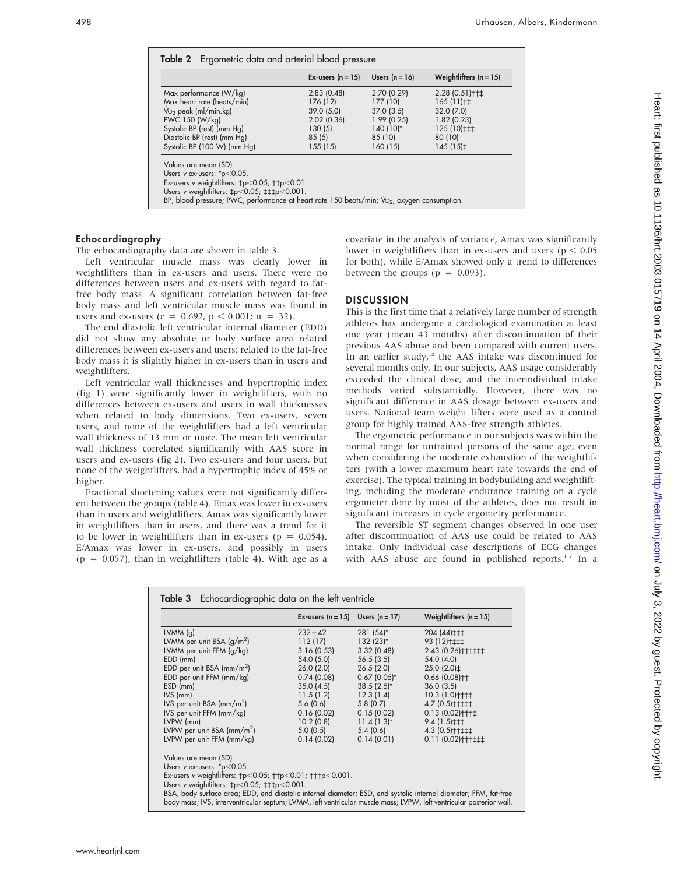| 2.83(0.48) | 2.70(0.29) | $2.28$ (0.51) $+1$      |
|------------|------------|-------------------------|
|            |            |                         |
| 176 (12)   | 177 (10)   | $165(11)$ <sup>++</sup> |
| 39.0(5.0)  | 37.0(3.5)  | 32.0(7.0)               |
| 2.02(0.36) | 1.99(0.25) | 1.82(0.23)              |
| 130(5)     | $140(10)*$ | $125(10)\pm\pm\pm\pm$   |
| 85(5)      | 85 (10)    | 80 (10)                 |
| 155(15)    | 160 (15)   | $145(15)\pm$            |
|            |            |                         |

#### Echocardiography

The echocardiography data are shown in table 3.

Left ventricular muscle mass was clearly lower in weightlifters than in ex-users and users. There were no differences between users and ex-users with regard to fatfree body mass. A significant correlation between fat-free body mass and left ventricular muscle mass was found in users and ex-users ( $r = 0.692$ ,  $p < 0.001$ ; n = 32).

The end diastolic left ventricular internal diameter (EDD) did not show any absolute or body surface area related differences between ex-users and users; related to the fat-free body mass it is slightly higher in ex-users than in users and weightlifters.

Left ventricular wall thicknesses and hypertrophic index (fig 1) were significantly lower in weightlifters, with no differences between ex-users and users in wall thicknesses when related to body dimensions. Two ex-users, seven users, and none of the weightlifters had a left ventricular wall thickness of 13 mm or more. The mean left ventricular wall thickness correlated significantly with AAS score in users and ex-users (fig 2). Two ex-users and four users, but none of the weightlifters, had a hypertrophic index of 45% or higher

Fractional shortening values were not significantly different between the groups (table 4). Emax was lower in ex-users than in users and weightlifters. Amax was significantly lower in weightlifters than in users, and there was a trend for it to be lower in weightlifters than in ex-users ( $p = 0.054$ ). E/Amax was lower in ex-users, and possibly in users  $(p = 0.057)$ , than in weightlifters (table 4). With age as a

covariate in the analysis of variance, Amax was significantly lower in weightlifters than in ex-users and users ( $p < 0.05$ ) for both), while E/Amax showed only a trend to differences between the groups ( $p = 0.093$ ).

#### **DISCUSSION**

This is the first time that a relatively large number of strength athletes has undergone a cardiological examination at least one year (mean 43 months) after discontinuation of their previous AAS abuse and been compared with current users. In an earlier study, $12$  the AAS intake was discontinued for several months only. In our subjects, AAS usage considerably exceeded the clinical dose, and the interindividual intake methods varied substantially. However, there was no significant difference in AAS dosage between ex-users and users. National team weight lifters were used as a control group for highly trained AAS-free strength athletes.

The ergometric performance in our subjects was within the normal range for untrained persons of the same age, even when considering the moderate exhaustion of the weightlifters (with a lower maximum heart rate towards the end of exercise). The typical training in bodybuilding and weightlifting, including the moderate endurance training on a cycle ergometer done by most of the athletes, does not result in significant increases in cycle ergometry performance.

The reversible ST segment changes observed in one user after discontinuation of AAS use could be related to AAS intake. Only individual case descriptions of ECG changes with AAS abuse are found in published reports.<sup>17</sup> In a

|                                     | Ex-users $(n = 15)$ Users $(n = 17)$ |                | Weightlifters $(n = 15)$                                                                                          |
|-------------------------------------|--------------------------------------|----------------|-------------------------------------------------------------------------------------------------------------------|
| LVMM(q)                             | $232 + 42$                           | $281(54)^*$    | 204 (44) $\pm\pm\pm$                                                                                              |
| LVMM per unit BSA $(g/m^2)$         | 112(17)                              | $132(23)^{*}$  | 93 (12) + $\pm$                                                                                                   |
| LVMM per unit FFM $(g/kg)$          | 3.16(0.53)                           | 3.32(0.48)     |                                                                                                                   |
| EDD (mm)                            | 54.0 (5.0)                           | 56.5(3.5)      | 54.0 (4.0)                                                                                                        |
| EDD per unit BSA $\frac{mm}{m^2}$   | 26.0(2.0)                            | 26.5(2.0)      | $25.0(2.0)$ ‡                                                                                                     |
| EDD per unit FFM (mm/kg)            | 0.74(0.08)                           | $0.67$ (0.05)* | $0.66$ $(0.08)$ + +                                                                                               |
| ESD (mm)                            | 35.0(4.5)                            | $38.5(2.5)^*$  | 36.0(3.5)                                                                                                         |
| $IVS$ (mm)                          | 11.5(1.2)                            | 12.3(1.4)      | $10.3(1.0)$ <sup><math>\uparrow</math><math>\downarrow</math><math>\downarrow</math><math>\downarrow</math></sup> |
| IVS per unit BSA $\frac{mm}{m^2}$   | 5.6(0.6)                             | 5.8(0.7)       | $4.7(0.5)$ + + $\pm$ $\pm$                                                                                        |
| IVS per unit FFM (mm/kg)            | 0.16(0.02)                           | 0.15(0.02)     |                                                                                                                   |
| LVPW (mm)                           | 10.2(0.8)                            | $11.4(1.3)$ *  | $9.4(1.5)$ $\pm$ $\pm$ $\pm$                                                                                      |
| LVPW per unit BSA $\text{mm/m}^2$ ) | 5.0(0.5)                             | 5.4(0.6)       | $4.3$ (0.5) + + $\pm$ $\pm$                                                                                       |
| LVPW per unit FFM (mm/kg)           | 0.14(0.02)                           | 0.14(0.01)     | $0.11(0.02)$ † † † ‡ ‡ ‡                                                                                          |

Values are mean (SD).

Users  $v$  ex-users:  $p<0.05$ .

Ex-users v weightlifters:  $\uparrow$ p $<$ 0.05;  $\uparrow$ †p $<$ 0.01;  $\uparrow$ † $\uparrow$ p $<$ 0.001.

Users v weightlifters:  $\text{\tt tp} < 0.05$ ;  $\text{\tt ttp} < 0.001$ .

BSA, body surface area; EDD, end diastolic internal diameter; ESD, end systolic internal diameter; FFM, fat-free body mass; IVS, interventricular septum; LVMM, left ventricular muscle mass; LVPW, left ventricular posterior wall.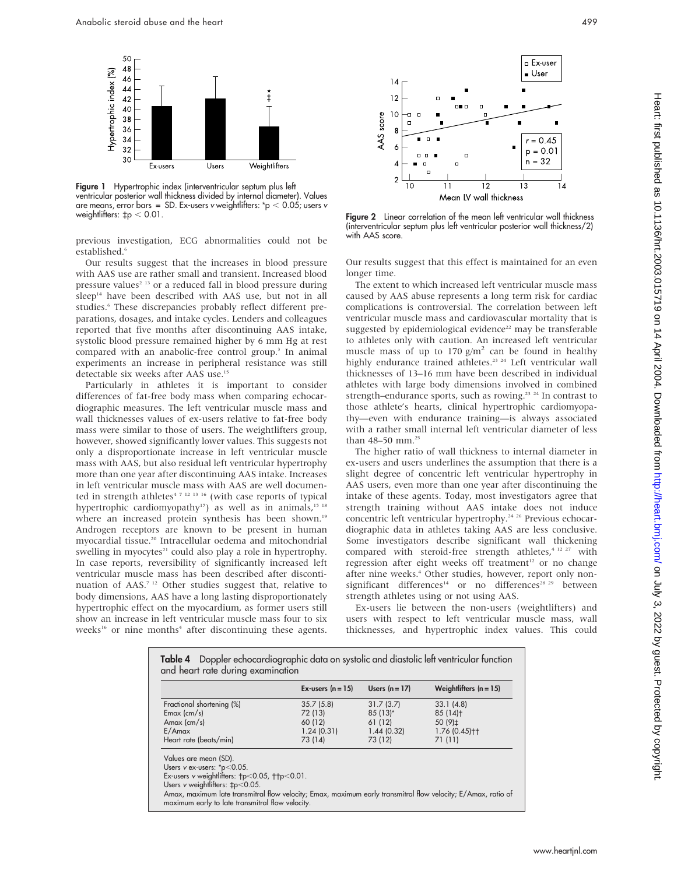

Figure 1 Hypertrophic index (interventricular septum plus left ventricular posterior wall thickness divided by internal diameter). Values are means, error bars = SD. Ex-users v weightlifters: \*p  $<$  0.05; users v weightlifters:  $tp < 0.01$ .

previous investigation, ECG abnormalities could not be established.6

Our results suggest that the increases in blood pressure with AAS use are rather small and transient. Increased blood pressure values<sup> $213$ </sup> or a reduced fall in blood pressure during sleep<sup>14</sup> have been described with AAS use, but not in all studies.<sup>6</sup> These discrepancies probably reflect different preparations, dosages, and intake cycles. Lenders and colleagues reported that five months after discontinuing AAS intake, systolic blood pressure remained higher by 6 mm Hg at rest compared with an anabolic-free control group.<sup>3</sup> In animal experiments an increase in peripheral resistance was still detectable six weeks after AAS use.<sup>15</sup>

Particularly in athletes it is important to consider differences of fat-free body mass when comparing echocardiographic measures. The left ventricular muscle mass and wall thicknesses values of ex-users relative to fat-free body mass were similar to those of users. The weightlifters group, however, showed significantly lower values. This suggests not only a disproportionate increase in left ventricular muscle mass with AAS, but also residual left ventricular hypertrophy more than one year after discontinuing AAS intake. Increases in left ventricular muscle mass with AAS are well documented in strength athletes<sup> $47$  12 13 16</sup> (with case reports of typical hypertrophic cardiomyopathy<sup>17</sup>) as well as in animals,<sup>15 18</sup> where an increased protein synthesis has been shown.<sup>19</sup> Androgen receptors are known to be present in human myocardial tissue.20 Intracellular oedema and mitochondrial swelling in myocytes<sup>21</sup> could also play a role in hypertrophy. In case reports, reversibility of significantly increased left ventricular muscle mass has been described after discontinuation of AAS.7 12 Other studies suggest that, relative to body dimensions, AAS have a long lasting disproportionately hypertrophic effect on the myocardium, as former users still show an increase in left ventricular muscle mass four to six weeks<sup>16</sup> or nine months<sup>4</sup> after discontinuing these agents.



Figure 2 Linear correlation of the mean left ventricular wall thickness (interventricular septum plus left ventricular posterior wall thickness/2) with AAS score.

Our results suggest that this effect is maintained for an even longer time.

The extent to which increased left ventricular muscle mass caused by AAS abuse represents a long term risk for cardiac complications is controversial. The correlation between left ventricular muscle mass and cardiovascular mortality that is suggested by epidemiological evidence<sup>22</sup> may be transferable to athletes only with caution. An increased left ventricular muscle mass of up to  $170 g/m^2$  can be found in healthy highly endurance trained athletes.<sup>23</sup> <sup>24</sup> Left ventricular wall thicknesses of 13–16 mm have been described in individual athletes with large body dimensions involved in combined strength–endurance sports, such as rowing.<sup>23</sup> <sup>24</sup> In contrast to those athlete's hearts, clinical hypertrophic cardiomyopathy—even with endurance training—is always associated with a rather small internal left ventricular diameter of less than 48-50 mm.<sup>25</sup>

The higher ratio of wall thickness to internal diameter in ex-users and users underlines the assumption that there is a slight degree of concentric left ventricular hypertrophy in AAS users, even more than one year after discontinuing the intake of these agents. Today, most investigators agree that strength training without AAS intake does not induce concentric left ventricular hypertrophy.24 26 Previous echocardiographic data in athletes taking AAS are less conclusive. Some investigators describe significant wall thickening compared with steroid-free strength athletes,<sup>4 12 27</sup> with regression after eight weeks off treatment<sup>12</sup> or no change after nine weeks.<sup>4</sup> Other studies, however, report only nonsignificant differences<sup>14</sup> or no differences<sup>28 29</sup> between strength athletes using or not using AAS.

Ex-users lie between the non-users (weightlifters) and users with respect to left ventricular muscle mass, wall thicknesses, and hypertrophic index values. This could

|                                   | Ex-users $(n = 15)$ | Users $(n = 17)$ | Weightlifters $(n = 15)$   |
|-----------------------------------|---------------------|------------------|----------------------------|
| Fractional shortening (%)         | 35.7(5.8)           | 31.7(3.7)        | 33.1(4.8)                  |
| $Emax$ (cm/s)                     | 72 (13)             | $85(13)*$        | $85(14)$ <sup>+</sup>      |
| Amax $\frac{\text{cm}}{\text{s}}$ | 60 (12)             | 61 (12)          | 50 (9) ±                   |
| $E/A$ max                         | 1.24(0.31)          | 1.44(0.32)       | $1.76(0.45)$ <sup>++</sup> |
| Heart rate (beats/min)            | 73 (14)             | 73 (12)          | 71 (11)                    |

 $Ex$ -users v weightlifters:  $\dagger$ p<0.05, ††p<0.01.

Users  $v$  weightlifters:  $tp<0.05$ .

Amax, maximum late transmitral flow velocity; Emax, maximum early transmitral flow velocity; E/Amax, ratio of maximum early to late transmitral flow velocity.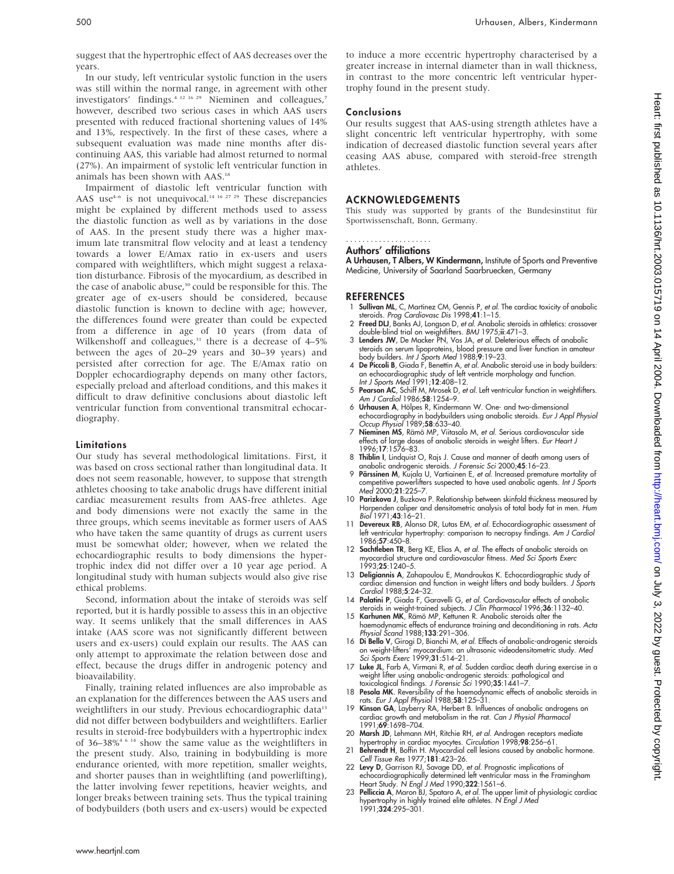suggest that the hypertrophic effect of AAS decreases over the years.

In our study, left ventricular systolic function in the users was still within the normal range, in agreement with other investigators' findings.4 12 16 29 Nieminen and colleagues,7 however, described two serious cases in which AAS users presented with reduced fractional shortening values of 14% and 13%, respectively. In the first of these cases, where a subsequent evaluation was made nine months after discontinuing AAS, this variable had almost returned to normal (27%). An impairment of systolic left ventricular function in animals has been shown with AAS.18

Impairment of diastolic left ventricular function with AAS use<sup>4-6</sup> is not unequivocal.<sup>14 16 27 29</sup> These discrepancies might be explained by different methods used to assess the diastolic function as well as by variations in the dose of AAS. In the present study there was a higher maximum late transmitral flow velocity and at least a tendency towards a lower E/Amax ratio in ex-users and users compared with weightlifters, which might suggest a relaxation disturbance. Fibrosis of the myocardium, as described in the case of anabolic abuse,<sup>30</sup> could be responsible for this. The greater age of ex-users should be considered, because diastolic function is known to decline with age; however, the differences found were greater than could be expected from a difference in age of 10 years (from data of Wilkenshoff and colleagues, $31$  there is a decrease of 4–5% between the ages of 20–29 years and 30–39 years) and persisted after correction for age. The E/Amax ratio on Doppler echocardiography depends on many other factors, especially preload and afterload conditions, and this makes it difficult to draw definitive conclusions about diastolic left ventricular function from conventional transmitral echocardiography.

#### Limitations

Our study has several methodological limitations. First, it was based on cross sectional rather than longitudinal data. It does not seem reasonable, however, to suppose that strength athletes choosing to take anabolic drugs have different initial cardiac measurement results from AAS-free athletes. Age and body dimensions were not exactly the same in the three groups, which seems inevitable as former users of AAS who have taken the same quantity of drugs as current users must be somewhat older; however, when we related the echocardiographic results to body dimensions the hypertrophic index did not differ over a 10 year age period. A longitudinal study with human subjects would also give rise ethical problems.

Second, information about the intake of steroids was self reported, but it is hardly possible to assess this in an objective way. It seems unlikely that the small differences in AAS intake (AAS score was not significantly different between users and ex-users) could explain our results. The AAS can only attempt to approximate the relation between dose and effect, because the drugs differ in androgenic potency and bioavailability.

Finally, training related influences are also improbable as an explanation for the differences between the AAS users and weightlifters in our study. Previous echocardiographic data<sup>13</sup> did not differ between bodybuilders and weightlifters. Earlier results in steroid-free bodybuilders with a hypertrophic index of 36–38%4 6 14 show the same value as the weightlifters in the present study. Also, training in bodybuilding is more endurance oriented, with more repetition, smaller weights, and shorter pauses than in weightlifting (and powerlifting), the latter involving fewer repetitions, heavier weights, and longer breaks between training sets. Thus the typical training of bodybuilders (both users and ex-users) would be expected to induce a more eccentric hypertrophy characterised by a greater increase in internal diameter than in wall thickness, in contrast to the more concentric left ventricular hypertrophy found in the present study.

#### Conclusions

Our results suggest that AAS-using strength athletes have a slight concentric left ventricular hypertrophy, with some indication of decreased diastolic function several years after ceasing AAS abuse, compared with steroid-free strength athletes.

#### ACKNOWLEDGEMENTS

This study was supported by grants of the Bundesinstitut für Sportwissenschaft, Bonn, Germany.

## .....................

Authors' affiliations

A Urhausen, T Albers, W Kindermann, Institute of Sports and Preventive Medicine, University of Saarland Saarbruecken, Germany

#### **REFERENCES**

- 1 Sullivan ML, C, Martinez CM, Gennis P, et al. The cardiac toxicity of anabolic
- steroids. *Prog Cardiovasc Dis* 1998;41:1–1*5.*<br>2 **Freed DLJ**, Banks AJ, Longson D, *et al.* Anabolic steroids in athletics: crossover double-blind trial on weightlifters. BMJ 1975;ii:471–3.
- 3 Lenders JW, De Macker PN, Vos JA, et al. Deleterious effects of anabolic steroids on serum lipoproteins, blood pressure and liver function in amateur
- body builders. *Int J Sports Med* 1988;**9**:19–23.<br>4 De Piccoli B, Giada F, Benettin A*, et al.* Anabolic steroid use in body builders: an echocardiographic study of left ventricle morphology and function. Int J Sports Med 1991;12:408–12.
- 5 Pearson AC, Schiff M, Mrosek D, et al. Left ventricular function in weightlifters. Am J Cardiol 1986;58:1254–9.
- 6 Urhausen A, Hölpes R, Kindermann W. One- and two-dimensional echocardiography in bodybuilders using anabolic steroids. Eur J Appl Physiol Occup Physiol 1989;58:633–40.
- 7 Nieminen MS, Rämö MP, Viitasalo M, et al. Serious cardiovascular side effects of large doses of anabolic steroids in weight lifters. Eur Heart J 1996;17:1576–83.
- 8 Thiblin I, Lindquist O, Rajs J. Cause and manner of death among users of anabolic androgenic steroids. J Forensic Sci 2000;45:16–23.
- 9 Pärssinen M, Kujala U, Vartiainen E, et al. Increased premature mortality of competitive powerlifters suspected to have used anabolic agents. Int J Sports Med 2000:21:225-7.
- 10 Parizkova J, Buzkova P. Relationship between skinfold thickness measured by Harpenden caliper and densitometric analysis of total body fat in men. Hum Biol 1971;43:16-21.
- 11 Devereux RB, Alonso DR, Lutas EM, et al. Echocardiographic assessment of left ventricular hypertrophy: comparison to necropsy findings. Am J Cardiol 1986;57:450–8.
- 12 Sachtleben TR, Berg KE, Elias A, et al. The effects of anabolic steroids on myocardial structure and cardiovascular fitness. Med Sci Sports Exerc 1993;25:1240–5.
- 13 Deligiannis A, Zahapoulou E, Mandroukas K. Echocardiographic study of cardiac dimension and function in weight lifters and body builders. J Sports Cardiol 1988;5:24–32.
- 14 Palatini P, Giada F, Garavelli G, et al. Cardiovascular effects of anabolic steroids in weight-trained subjects. J Clin Pharmacol 1996;36:1132-40.
- 15 Karhunen MK, Rämö MP, Kettunen R. Anabolic steroids alter the haemodynamic effects of endurance training and deconditioning in rats. Acta Physiol Scand 1988;133:291–306.
- 16 Di Bello V, Girogi D, Bianchi M, et al. Effects of anabolic-androgenic steroids on weight-lifters' myocardium: an ultrasonic videodensitometric study. Med Sci Sports Exerc 1999;31:514-21.
- 17 Luke JL, Farb A, Virmani R, et al. Sudden cardiac death during exercise in a weight lifter using anabolic-androgenic steroids: pathological and
- toxicological findings. J Forensic Sci 1990;35:1441–7. 18 Pesola MK. Reversibility of the haemodynamic effects of anabolic steroids in rats. Eur J Appl Physiol 1988;58:125–31.
- 19 Kinson GA, Layberry RA, Herbert B. Influences of anabolic androgens on cardiac growth and metabolism in the rat. Can J Physiol Pharmacol 1991;69:1698–704.
- 20 Marsh JD, Lehmann MH, Ritchie RH, et al. Androgen receptors mediate hypertrophy in cardiac myocytes. Circulation 1998;98:256–61.
- 21 Behrendt H, Boffin H. Myocardial cell lesions caused by anabolic hormone. Cell Tissue Res 1977;181:423–26.
- 22 Levy D, Garrison RJ, Savage DD, et al. Prognostic implications of echocardiographically determined left ventricular mass in the Framingham Heart Study. N Engl J Med 1990;322:1561–6.
- 23 Pelliccia A, Maron BJ, Spataro A, et al. The upper limit of physiologic cardiac hypertrophy in highly trained elite athletes. N Engl J Med 1991;324:295-301.